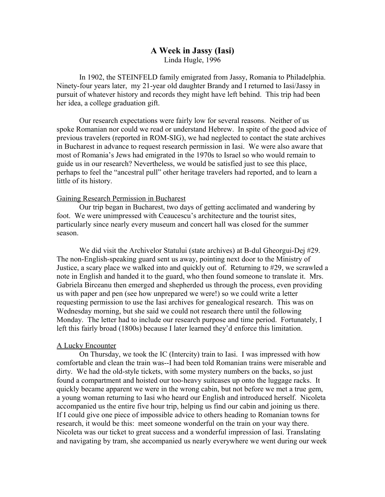# **A Week in Jassy (Iasi)** Linda Hugle, 1996

In 1902, the STEINFELD family emigrated from Jassy, Romania to Philadelphia. Ninety-four years later, my 21-year old daughter Brandy and I returned to Iasi/Jassy in pursuit of whatever history and records they might have left behind. This trip had been her idea, a college graduation gift.

Our research expectations were fairly low for several reasons. Neither of us spoke Romanian nor could we read or understand Hebrew. In spite of the good advice of previous travelers (reported in ROM-SIG), we had neglected to contact the state archives in Bucharest in advance to request research permission in Iasi. We were also aware that most of Romania's Jews had emigrated in the 1970s to Israel so who would remain to guide us in our research? Nevertheless, we would be satisfied just to see this place, perhaps to feel the "ancestral pull" other heritage travelers had reported, and to learn a little of its history.

## Gaining Research Permission in Bucharest

Our trip began in Bucharest, two days of getting acclimated and wandering by foot. We were unimpressed with Ceaucescu's architecture and the tourist sites, particularly since nearly every museum and concert hall was closed for the summer season.

We did visit the Archivelor Statului (state archives) at B-dul Gheorgui-Dej #29. The non-English-speaking guard sent us away, pointing next door to the Ministry of Justice, a scary place we walked into and quickly out of. Returning to #29, we scrawled a note in English and handed it to the guard, who then found someone to translate it. Mrs. Gabriela Birceanu then emerged and shepherded us through the process, even providing us with paper and pen (see how unprepared we were!) so we could write a letter requesting permission to use the Iasi archives for genealogical research. This was on Wednesday morning, but she said we could not research there until the following Monday. The letter had to include our research purpose and time period. Fortunately, I left this fairly broad (1800s) because I later learned they'd enforce this limitation.

## A Lucky Encounter

On Thursday, we took the IC (Intercity) train to Iasi. I was impressed with how comfortable and clean the train was--I had been told Romanian trains were miserable and dirty. We had the old-style tickets, with some mystery numbers on the backs, so just found a compartment and hoisted our too-heavy suitcases up onto the luggage racks. It quickly became apparent we were in the wrong cabin, but not before we met a true gem, a young woman returning to Iasi who heard our English and introduced herself. Nicoleta accompanied us the entire five hour trip, helping us find our cabin and joining us there. If I could give one piece of impossible advice to others heading to Romanian towns for research, it would be this: meet someone wonderful on the train on your way there. Nicoleta was our ticket to great success and a wonderful impression of Iasi. Translating and navigating by tram, she accompanied us nearly everywhere we went during our week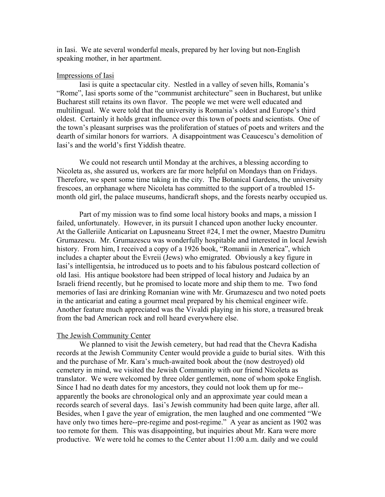in Iasi. We ate several wonderful meals, prepared by her loving but non-English speaking mother, in her apartment.

## Impressions of Iasi

Iasi is quite a spectacular city. Nestled in a valley of seven hills, Romania's "Rome", Iasi sports some of the "communist architecture" seen in Bucharest, but unlike Bucharest still retains its own flavor. The people we met were well educated and multilingual. We were told that the university is Romania's oldest and Europe's third oldest. Certainly it holds great influence over this town of poets and scientists. One of the town's pleasant surprises was the proliferation of statues of poets and writers and the dearth of similar honors for warriors. A disappointment was Ceaucescu's demolition of Iasi's and the world's first Yiddish theatre.

We could not research until Monday at the archives, a blessing according to Nicoleta as, she assured us, workers are far more helpful on Mondays than on Fridays. Therefore, we spent some time taking in the city. The Botanical Gardens, the university frescoes, an orphanage where Nicoleta has committed to the support of a troubled 15 month old girl, the palace museums, handicraft shops, and the forests nearby occupied us.

Part of my mission was to find some local history books and maps, a mission I failed, unfortunately. However, in its pursuit I chanced upon another lucky encounter. At the Galleriile Anticariat on Lapusneanu Street #24, I met the owner, Maestro Dumitru Grumazescu. Mr. Grumazescu was wonderfully hospitable and interested in local Jewish history. From him, I received a copy of a 1926 book, "Romanii in America", which includes a chapter about the Evreii (Jews) who emigrated. Obviously a key figure in Iasi's intelligentsia, he introduced us to poets and to his fabulous postcard collection of old Iasi. His antique bookstore had been stripped of local history and Judaica by an Israeli friend recently, but he promised to locate more and ship them to me. Two fond memories of Iasi are drinking Romanian wine with Mr. Grumazescu and two noted poets in the anticariat and eating a gourmet meal prepared by his chemical engineer wife. Another feature much appreciated was the Vivaldi playing in his store, a treasured break from the bad American rock and roll heard everywhere else.

#### The Jewish Community Center

We planned to visit the Jewish cemetery, but had read that the Chevra Kadisha records at the Jewish Community Center would provide a guide to burial sites. With this and the purchase of Mr. Kara's much-awaited book about the (now destroyed) old cemetery in mind, we visited the Jewish Community with our friend Nicoleta as translator. We were welcomed by three older gentlemen, none of whom spoke English. Since I had no death dates for my ancestors, they could not look them up for me- apparently the books are chronological only and an approximate year could mean a records search of several days. Iasi's Jewish community had been quite large, after all. Besides, when I gave the year of emigration, the men laughed and one commented "We have only two times here--pre-regime and post-regime." A year as ancient as 1902 was too remote for them. This was disappointing, but inquiries about Mr. Kara were more productive. We were told he comes to the Center about 11:00 a.m. daily and we could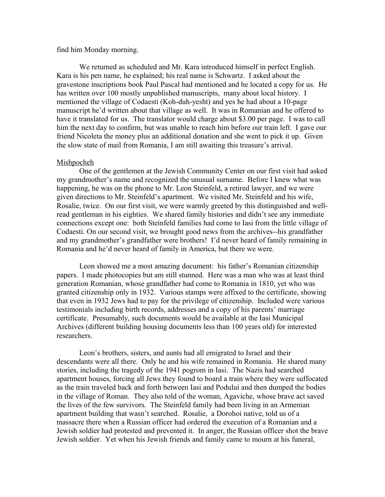## find him Monday morning.

We returned as scheduled and Mr. Kara introduced himself in perfect English. Kara is his pen name, he explained; his real name is Schwartz. I asked about the gravestone inscriptions book Paul Pascal had mentioned and he located a copy for us. He has written over 100 mostly unpublished manuscripts, many about local history. I mentioned the village of Codaesti (Koh-duh-yesht) and yes he had about a 10-page manuscript he'd written about that village as well. It was in Romanian and he offered to have it translated for us. The translator would charge about \$3.00 per page. I was to call him the next day to confirm, but was unable to reach him before our train left. I gave our friend Nicoleta the money plus an additional donation and she went to pick it up. Given the slow state of mail from Romania, I am still awaiting this treasure's arrival.

### Mishpocheh

One of the gentlemen at the Jewish Community Center on our first visit had asked my grandmother's name and recognized the unusual surname. Before I knew what was happening, he was on the phone to Mr. Leon Steinfeld, a retired lawyer, and we were given directions to Mr. Steinfeld's apartment. We visited Mr. Steinfeld and his wife, Rosalie, twice. On our first visit, we were warmly greeted by this distinguished and wellread gentleman in his eighties. We shared family histories and didn't see any immediate connections except one: both Steinfeld families had come to Iasi from the little village of Codaesti. On our second visit, we brought good news from the archives--his grandfather and my grandmother's grandfather were brothers! I'd never heard of family remaining in Romania and he'd never heard of family in America, but there we were.

Leon showed me a most amazing document: his father's Romanian citizenship papers. I made photocopies but am still stunned. Here was a man who was at least third generation Romanian, whose grandfather had come to Romania in 1810, yet who was granted citizenship only in 1932. Various stamps were affixed to the certificate, showing that even in 1932 Jews had to pay for the privilege of citizenship. Included were various testimonials including birth records, addresses and a copy of his parents' marriage certificate. Presumably, such documents would be available at the Iasi Municipal Archives (different building housing documents less than 100 years old) for interested researchers.

Leon's brothers, sisters, and aunts had all emigrated to Israel and their descendants were all there. Only he and his wife remained in Romania. He shared many stories, including the tragedy of the 1941 pogrom in Iasi. The Nazis had searched apartment houses, forcing all Jews they found to board a train where they were suffocated as the train traveled back and forth between Iasi and Podului and then dumped the bodies in the village of Roman. They also told of the woman, Agaviche, whose brave act saved the lives of the few survivors. The Steinfeld family had been living in an Armenian apartment building that wasn't searched. Rosalie, a Dorohoi native, told us of a massacre there when a Russian officer had ordered the execution of a Romanian and a Jewish soldier had protested and prevented it. In anger, the Russian officer shot the brave Jewish soldier. Yet when his Jewish friends and family came to mourn at his funeral,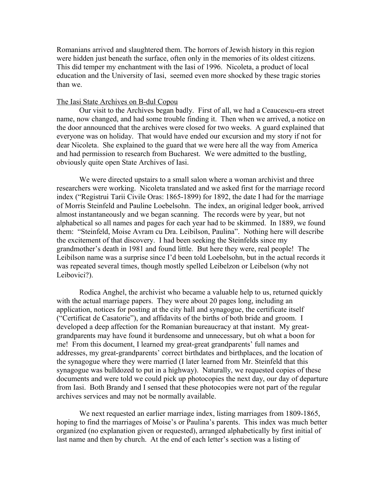Romanians arrived and slaughtered them. The horrors of Jewish history in this region were hidden just beneath the surface, often only in the memories of its oldest citizens. This did temper my enchantment with the Iasi of 1996. Nicoleta, a product of local education and the University of Iasi, seemed even more shocked by these tragic stories than we.

## The Iasi State Archives on B-dul Copou

Our visit to the Archives began badly. First of all, we had a Ceaucescu-era street name, now changed, and had some trouble finding it. Then when we arrived, a notice on the door announced that the archives were closed for two weeks. A guard explained that everyone was on holiday. That would have ended our excursion and my story if not for dear Nicoleta. She explained to the guard that we were here all the way from America and had permission to research from Bucharest. We were admitted to the bustling, obviously quite open State Archives of Iasi.

We were directed upstairs to a small salon where a woman archivist and three researchers were working. Nicoleta translated and we asked first for the marriage record index ("Registrui Tarii Civile Oras: 1865-1899) for 1892, the date I had for the marriage of Morris Steinfeld and Pauline Loebelsohn. The index, an original ledger book, arrived almost instantaneously and we began scanning. The records were by year, but not alphabetical so all names and pages for each year had to be skimmed. In 1889, we found them: "Steinfeld, Moise Avram cu Dra. Leibilson, Paulina". Nothing here will describe the excitement of that discovery. I had been seeking the Steinfelds since my grandmother's death in 1981 and found little. But here they were, real people! The Leibilson name was a surprise since I'd been told Loebelsohn, but in the actual records it was repeated several times, though mostly spelled Leibelzon or Leibelson (why not Leibovici?).

Rodica Anghel, the archivist who became a valuable help to us, returned quickly with the actual marriage papers. They were about 20 pages long, including an application, notices for posting at the city hall and synagogue, the certificate itself ("Certificat de Casatorie"), and affidavits of the births of both bride and groom. I developed a deep affection for the Romanian bureaucracy at that instant. My greatgrandparents may have found it burdensome and unnecessary, but oh what a boon for me! From this document, I learned my great-great grandparents' full names and addresses, my great-grandparents' correct birthdates and birthplaces, and the location of the synagogue where they were married (I later learned from Mr. Steinfeld that this synagogue was bulldozed to put in a highway). Naturally, we requested copies of these documents and were told we could pick up photocopies the next day, our day of departure from Iasi. Both Brandy and I sensed that these photocopies were not part of the regular archives services and may not be normally available.

We next requested an earlier marriage index, listing marriages from 1809-1865, hoping to find the marriages of Moise's or Paulina's parents. This index was much better organized (no explanation given or requested), arranged alphabetically by first initial of last name and then by church. At the end of each letter's section was a listing of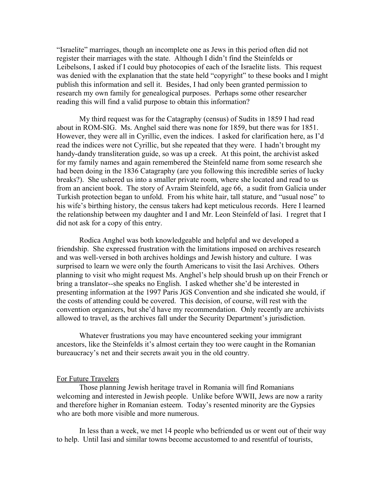"Israelite" marriages, though an incomplete one as Jews in this period often did not register their marriages with the state. Although I didn't find the Steinfelds or Leibelsons, I asked if I could buy photocopies of each of the Israelite lists. This request was denied with the explanation that the state held "copyright" to these books and I might publish this information and sell it. Besides, I had only been granted permission to research my own family for genealogical purposes. Perhaps some other researcher reading this will find a valid purpose to obtain this information?

My third request was for the Catagraphy (census) of Sudits in 1859 I had read about in ROM-SIG. Ms. Anghel said there was none for 1859, but there was for 1851. However, they were all in Cyrillic, even the indices. I asked for clarification here, as I'd read the indices were not Cyrillic, but she repeated that they were. I hadn't brought my handy-dandy transliteration guide, so was up a creek. At this point, the archivist asked for my family names and again remembered the Steinfeld name from some research she had been doing in the 1836 Catagraphy (are you following this incredible series of lucky breaks?). She ushered us into a smaller private room, where she located and read to us from an ancient book. The story of Avraim Steinfeld, age 66, a sudit from Galicia under Turkish protection began to unfold. From his white hair, tall stature, and "usual nose" to his wife's birthing history, the census takers had kept meticulous records. Here I learned the relationship between my daughter and I and Mr. Leon Steinfeld of Iasi. I regret that I did not ask for a copy of this entry.

Rodica Anghel was both knowledgeable and helpful and we developed a friendship. She expressed frustration with the limitations imposed on archives research and was well-versed in both archives holdings and Jewish history and culture. I was surprised to learn we were only the fourth Americans to visit the Iasi Archives. Others planning to visit who might request Ms. Anghel's help should brush up on their French or bring a translator--she speaks no English. I asked whether she'd be interested in presenting information at the 1997 Paris JGS Convention and she indicated she would, if the costs of attending could be covered. This decision, of course, will rest with the convention organizers, but she'd have my recommendation. Only recently are archivists allowed to travel, as the archives fall under the Security Department's jurisdiction.

Whatever frustrations you may have encountered seeking your immigrant ancestors, like the Steinfelds it's almost certain they too were caught in the Romanian bureaucracy's net and their secrets await you in the old country.

## For Future Travelers

Those planning Jewish heritage travel in Romania will find Romanians welcoming and interested in Jewish people. Unlike before WWII, Jews are now a rarity and therefore higher in Romanian esteem. Today's resented minority are the Gypsies who are both more visible and more numerous.

In less than a week, we met 14 people who befriended us or went out of their way to help. Until Iasi and similar towns become accustomed to and resentful of tourists,